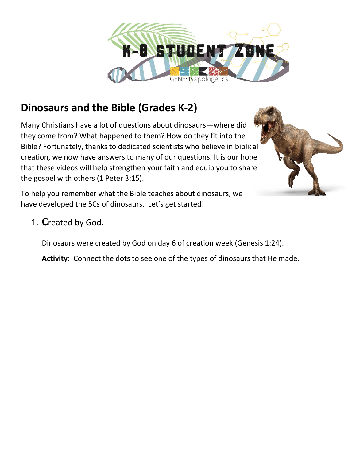

# **Dinosaurs and the Bible (Grades K-2)**

Many Christians have a lot of questions about dinosaurs—where did they come from? What happened to them? How do they fit into the Bible? Fortunately, thanks to dedicated scientists who believe in biblical creation, we now have answers to many of our questions. It is our hope that these videos will help strengthen your faith and equip you to share the gospel with others (1 Peter 3:15).

To help you remember what the Bible teaches about dinosaurs, we have developed the 5Cs of dinosaurs. Let's get started!

1. **C**reated by God.

Dinosaurs were created by God on day 6 of creation week (Genesis 1:24).

**Activity:** Connect the dots to see one of the types of dinosaurs that He made.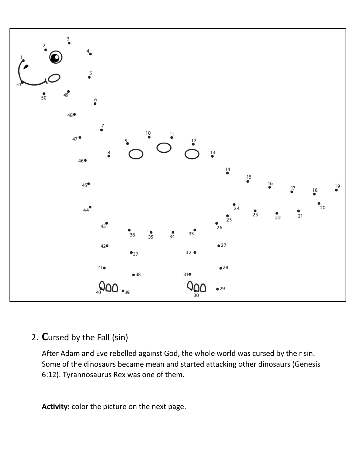

2. **C**ursed by the Fall (sin)

After Adam and Eve rebelled against God, the whole world was cursed by their sin. Some of the dinosaurs became mean and started attacking other dinosaurs (Genesis 6:12). Tyrannosaurus Rex was one of them.

**Activity:** color the picture on the next page.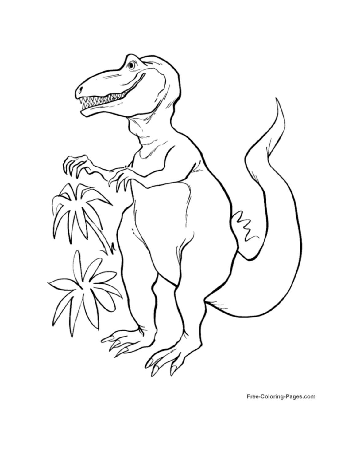

Free-Coloring-Pages.com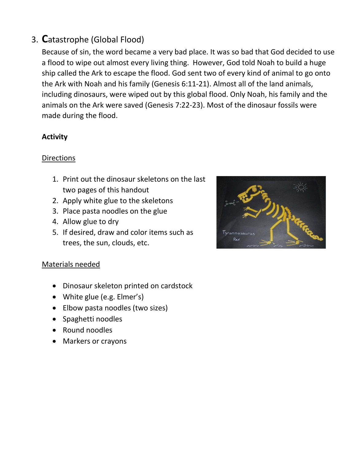### 3. **C**atastrophe (Global Flood)

Because of sin, the word became a very bad place. It was so bad that God decided to use a flood to wipe out almost every living thing. However, God told Noah to build a huge ship called the Ark to escape the flood. God sent two of every kind of animal to go onto the Ark with Noah and his family (Genesis 6:11-21). Almost all of the land animals, including dinosaurs, were wiped out by this global flood. Only Noah, his family and the animals on the Ark were saved (Genesis 7:22-23). Most of the dinosaur fossils were made during the flood.

### **Activity**

### **Directions**

- 1. Print out the dinosaur skeletons on the last two pages of this handout
- 2. Apply white glue to the skeletons
- 3. Place pasta noodles on the glue
- 4. Allow glue to dry
- 5. If desired, draw and color items such as trees, the sun, clouds, etc.

# Tyrannosauri Rex

#### Materials needed

- Dinosaur skeleton printed on cardstock
- White glue (e.g. Elmer's)
- Elbow pasta noodles (two sizes)
- Spaghetti noodles
- Round noodles
- Markers or crayons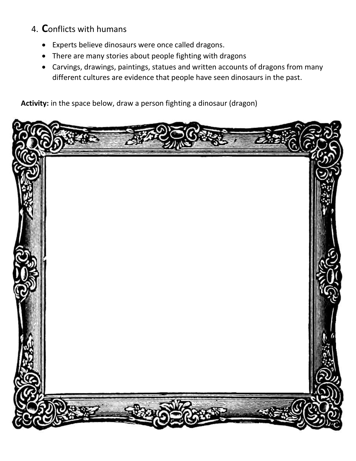## 4. **C**onflicts with humans

- Experts believe dinosaurs were once called dragons.
- There are many stories about people fighting with dragons
- Carvings, drawings, paintings, statues and written accounts of dragons from many different cultures are evidence that people have seen dinosaurs in the past.

**Activity:** in the space below, draw a person fighting a dinosaur (dragon)

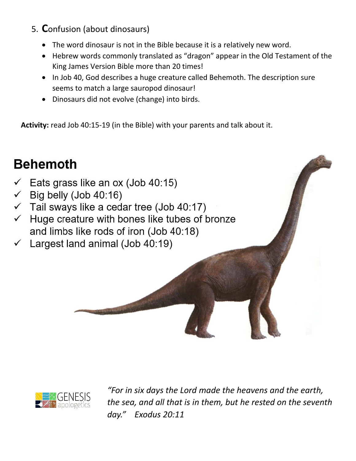- 5. **C**onfusion (about dinosaurs)
	- The word dinosaur is not in the Bible because it is a relatively new word.
	- Hebrew words commonly translated as "dragon" appear in the Old Testament of the King James Version Bible more than 20 times!
	- In Job 40, God describes a huge creature called Behemoth. The description sure seems to match a large sauropod dinosaur!
	- Dinosaurs did not evolve (change) into birds.

**Activity:** read Job 40:15-19 (in the Bible) with your parents and talk about it.

# **Behemoth**

- Eats grass like an ox (Job 40:15)
- $\checkmark$  Big belly (Job 40:16)
- $\checkmark$  Tail sways like a cedar tree (Job 40:17)
- $\checkmark$  Huge creature with bones like tubes of bronze and limbs like rods of iron (Job 40:18)
- Largest land animal (Job 40:19)



*"For in six days the Lord made the heavens and the earth, the sea, and all that is in them, but he rested on the seventh day." Exodus 20:11*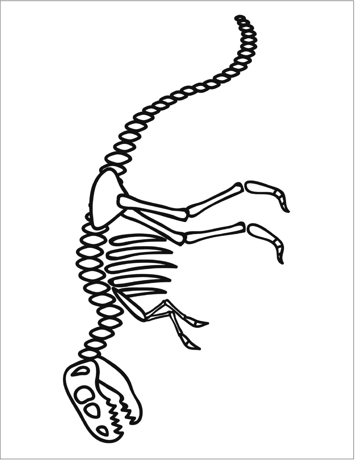